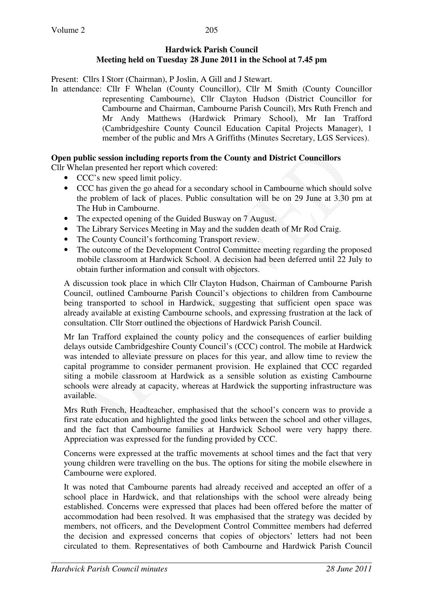#### **Hardwick Parish Council Meeting held on Tuesday 28 June 2011 in the School at 7.45 pm**

Present: Cllrs I Storr (Chairman), P Joslin, A Gill and J Stewart.

In attendance: Cllr F Whelan (County Councillor), Cllr M Smith (County Councillor representing Cambourne), Cllr Clayton Hudson (District Councillor for Cambourne and Chairman, Cambourne Parish Council), Mrs Ruth French and Mr Andy Matthews (Hardwick Primary School), Mr Ian Trafford (Cambridgeshire County Council Education Capital Projects Manager), 1 member of the public and Mrs A Griffiths (Minutes Secretary, LGS Services).

### **Open public session including reports from the County and District Councillors**

Cllr Whelan presented her report which covered:

- CCC's new speed limit policy.
- CCC has given the go ahead for a secondary school in Cambourne which should solve the problem of lack of places. Public consultation will be on 29 June at 3.30 pm at The Hub in Cambourne.
- The expected opening of the Guided Busway on 7 August.
- The Library Services Meeting in May and the sudden death of Mr Rod Craig.
- The County Council's forthcoming Transport review.
- The outcome of the Development Control Committee meeting regarding the proposed mobile classroom at Hardwick School. A decision had been deferred until 22 July to obtain further information and consult with objectors.

A discussion took place in which Cllr Clayton Hudson, Chairman of Cambourne Parish Council, outlined Cambourne Parish Council's objections to children from Cambourne being transported to school in Hardwick, suggesting that sufficient open space was already available at existing Cambourne schools, and expressing frustration at the lack of consultation. Cllr Storr outlined the objections of Hardwick Parish Council.

Mr Ian Trafford explained the county policy and the consequences of earlier building delays outside Cambridgeshire County Council's (CCC) control. The mobile at Hardwick was intended to alleviate pressure on places for this year, and allow time to review the capital programme to consider permanent provision. He explained that CCC regarded siting a mobile classroom at Hardwick as a sensible solution as existing Cambourne schools were already at capacity, whereas at Hardwick the supporting infrastructure was available.

Mrs Ruth French, Headteacher, emphasised that the school's concern was to provide a first rate education and highlighted the good links between the school and other villages, and the fact that Cambourne families at Hardwick School were very happy there. Appreciation was expressed for the funding provided by CCC.

Concerns were expressed at the traffic movements at school times and the fact that very young children were travelling on the bus. The options for siting the mobile elsewhere in Cambourne were explored.

It was noted that Cambourne parents had already received and accepted an offer of a school place in Hardwick, and that relationships with the school were already being established. Concerns were expressed that places had been offered before the matter of accommodation had been resolved. It was emphasised that the strategy was decided by members, not officers, and the Development Control Committee members had deferred the decision and expressed concerns that copies of objectors' letters had not been circulated to them. Representatives of both Cambourne and Hardwick Parish Council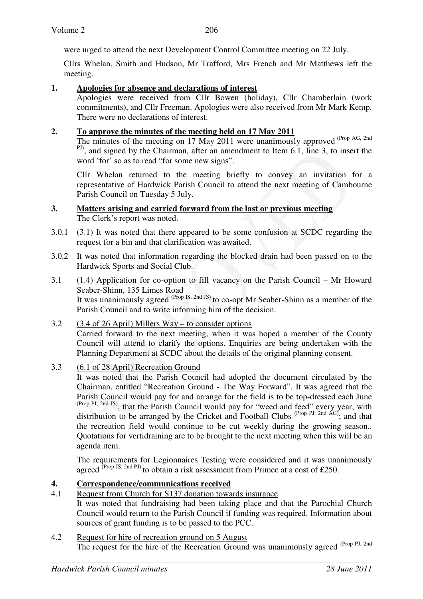were urged to attend the next Development Control Committee meeting on 22 July.

Cllrs Whelan, Smith and Hudson, Mr Trafford, Mrs French and Mr Matthews left the meeting.

### **1. Apologies for absence and declarations of interest**

 Apologies were received from Cllr Bowen (holiday), Cllr Chamberlain (work commitments), and Cllr Freeman. Apologies were also received from Mr Mark Kemp. There were no declarations of interest.

### **2. To approve the minutes of the meeting held on 17 May 2011**

The minutes of the meeting on 17 May 2011 were unanimously approved (Prop AG, 2nd) <sup>PJ)</sup>, and signed by the Chairman, after an amendment to Item 6.1, line 3, to insert the word 'for' so as to read "for some new signs".

Cllr Whelan returned to the meeting briefly to convey an invitation for a representative of Hardwick Parish Council to attend the next meeting of Cambourne Parish Council on Tuesday 5 July.

### **3. Matters arising and carried forward from the last or previous meeting**  The Clerk's report was noted.

- 3.0.1 (3.1) It was noted that there appeared to be some confusion at SCDC regarding the request for a bin and that clarification was awaited.
- 3.0.2 It was noted that information regarding the blocked drain had been passed on to the Hardwick Sports and Social Club.
- 3.1 (1.4) Application for co-option to fill vacancy on the Parish Council Mr Howard Seaber-Shinn, 135 Limes Road It was unanimously agreed  $^{(Prop\,IS,\,2nd\,JS)}$  to co-opt Mr Seaber-Shinn as a member of the Parish Council and to write informing him of the decision.
- 3.2 (3.4 of 26 April) Millers Way to consider options Carried forward to the next meeting, when it was hoped a member of the County Council will attend to clarify the options. Enquiries are being undertaken with the Planning Department at SCDC about the details of the original planning consent.
- 3.3 (6.1 of 28 April) Recreation Ground

It was noted that the Parish Council had adopted the document circulated by the Chairman, entitled "Recreation Ground - The Way Forward". It was agreed that the Parish Council would pay for and arrange for the field is to be top-dressed each June (Prop PJ, 2nd JS), that the Parish Council would pay for "weed and feed" every year, with distribution to be arranged by the Cricket and Football Clubs  $(Prop\ PJ, 2nd\ AG)$ ; and that the recreation field would continue to be cut weekly during the growing season.. Quotations for vertidraining are to be brought to the next meeting when this will be an agenda item.

The requirements for Legionnaires Testing were considered and it was unanimously agreed  $^{(Prop\, JS, 2nd\, PJ)}$  to obtain a risk assessment from Primec at a cost of £250.

## **4. Correspondence/communications received**

- 4.1 Request from Church for S137 donation towards insurance It was noted that fundraising had been taking place and that the Parochial Church Council would return to the Parish Council if funding was required. Information about sources of grant funding is to be passed to the PCC.
- 4.2 Request for hire of recreation ground on 5 August The request for the hire of the Recreation Ground was unanimously agreed (Prop PJ, 2nd)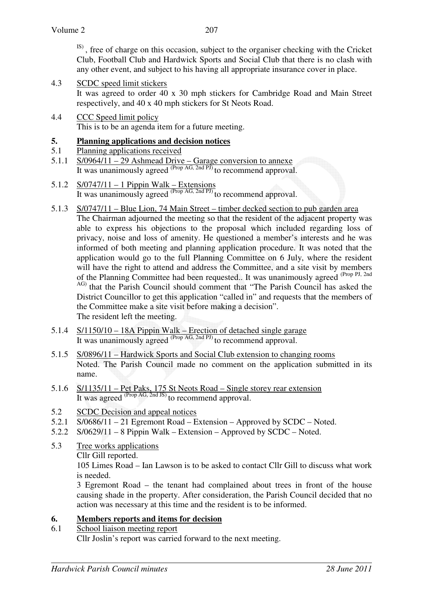IS) , free of charge on this occasion, subject to the organiser checking with the Cricket Club, Football Club and Hardwick Sports and Social Club that there is no clash with any other event, and subject to his having all appropriate insurance cover in place.

- 4.3 SCDC speed limit stickers It was agreed to order 40 x 30 mph stickers for Cambridge Road and Main Street respectively, and 40 x 40 mph stickers for St Neots Road.
- 4.4 CCC Speed limit policy This is to be an agenda item for a future meeting.

# **5. Planning applications and decision notices**

- 5.1 Planning applications received
- 5.1.1 S/0964/11 29 Ashmead Drive Garage conversion to annexe It was unanimously agreed  $(\text{Prop AG}, \text{2nd PI})$  to recommend approval.
- 5.1.2 S/0747/11 1 Pippin Walk Extensions It was unanimously agreed <sup>(Prop AG, 2nd PJ)</sup> to recommend approval.
- 5.1.3 S/0747/11 Blue Lion, 74 Main Street timber decked section to pub garden area The Chairman adjourned the meeting so that the resident of the adjacent property was able to express his objections to the proposal which included regarding loss of privacy, noise and loss of amenity. He questioned a member's interests and he was informed of both meeting and planning application procedure. It was noted that the application would go to the full Planning Committee on 6 July, where the resident will have the right to attend and address the Committee, and a site visit by members of the Planning Committee had been requested.. It was unanimously agreed <sup>(Prop PJ, 2nd</sup>) AG) that the Parish Council should comment that "The Parish Council has asked the District Councillor to get this application "called in" and requests that the members of the Committee make a site visit before making a decision". The resident left the meeting.
- 5.1.4 S/1150/10 18A Pippin Walk Erection of detached single garage It was unanimously agreed <sup>(Prop AG, 2nd PJ)</sup> to recommend approval.
- 5.1.5 S/0896/11 Hardwick Sports and Social Club extension to changing rooms Noted. The Parish Council made no comment on the application submitted in its name.
- 5.1.6 S/1135/11 Pet Paks, 175 St Neots Road Single storey rear extension It was agreed <sup>(Prop AG, 2nd JS)</sup> to recommend approval.
- 5.2 SCDC Decision and appeal notices
- 5.2.1 S/0686/11 21 Egremont Road Extension Approved by SCDC Noted.
- 5.2.2 S/0629/11 8 Pippin Walk Extension Approved by SCDC Noted.
- 5.3 Tree works applications
	- Cllr Gill reported.

105 Limes Road – Ian Lawson is to be asked to contact Cllr Gill to discuss what work is needed.

3 Egremont Road – the tenant had complained about trees in front of the house causing shade in the property. After consideration, the Parish Council decided that no action was necessary at this time and the resident is to be informed.

## **6. Members reports and items for decision**

6.1 School liaison meeting report Cllr Joslin's report was carried forward to the next meeting.